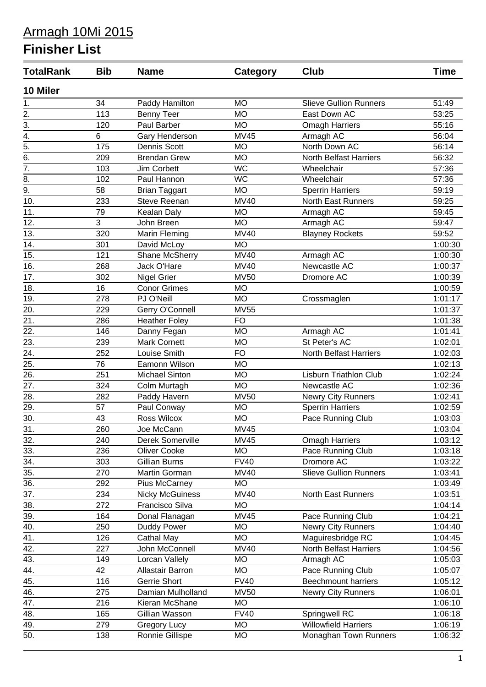| <b>TotalRank</b>  | <b>Bib</b> | <b>Name</b>            | <b>Category</b> | Club                          | Time    |
|-------------------|------------|------------------------|-----------------|-------------------------------|---------|
| 10 Miler          |            |                        |                 |                               |         |
| 1.                | 34         | Paddy Hamilton         | <b>MO</b>       | <b>Slieve Gullion Runners</b> | 51:49   |
| $\overline{2}$ .  | 113        | <b>Benny Teer</b>      | <b>MO</b>       | East Down AC                  | 53:25   |
| $\overline{3}$ .  | 120        | Paul Barber            | <b>MO</b>       | <b>Omagh Harriers</b>         | 55:16   |
| $\overline{4}$ .  | 6          | Gary Henderson         | <b>MV45</b>     | Armagh AC                     | 56:04   |
| $\overline{5}$ .  | 175        | Dennis Scott           | <b>MO</b>       | North Down AC                 | 56:14   |
| $\overline{6}$ .  | 209        | <b>Brendan Grew</b>    | <b>MO</b>       | <b>North Belfast Harriers</b> | 56:32   |
| $\overline{7}$ .  | 103        | Jim Corbett            | <b>WC</b>       | Wheelchair                    | 57:36   |
| $\overline{8}$ .  | 102        | Paul Hannon            | <b>WC</b>       | Wheelchair                    | 57:36   |
| $\overline{9}$ .  | 58         | <b>Brian Taggart</b>   | <b>MO</b>       | <b>Sperrin Harriers</b>       | 59:19   |
| $\overline{10}$ . | 233        | Steve Reenan           | <b>MV40</b>     | <b>North East Runners</b>     | 59:25   |
| 11.               | 79         | Kealan Daly            | <b>MO</b>       | Armagh AC                     | 59:45   |
| 12.               | 3          | John Breen             | <b>MO</b>       | Armagh AC                     | 59:47   |
| 13.               | 320        | Marin Fleming          | <b>MV40</b>     | <b>Blayney Rockets</b>        | 59:52   |
| 14.               | 301        | David McLoy            | <b>MO</b>       |                               | 1:00:30 |
| 15.               | 121        | Shane McSherry         | <b>MV40</b>     | Armagh AC                     | 1:00:30 |
| 16.               | 268        | Jack O'Hare            | <b>MV40</b>     | Newcastle AC                  | 1:00:37 |
| $\overline{17}$ . | 302        | Nigel Grier            | <b>MV50</b>     | Dromore AC                    | 1:00:39 |
| 18.               | 16         | <b>Conor Grimes</b>    | <b>MO</b>       |                               | 1:00:59 |
| 19.               | 278        | PJ O'Neill             | <b>MO</b>       | Crossmaglen                   | 1:01:17 |
| 20.               | 229        | Gerry O'Connell        | <b>MV55</b>     |                               | 1:01:37 |
| $\overline{21}$ . | 286        | <b>Heather Foley</b>   | <b>FO</b>       |                               | 1:01:38 |
| $\overline{22}$ . | 146        | Danny Fegan            | <b>MO</b>       | Armagh AC                     | 1:01:41 |
| $\overline{23}$ . | 239        | <b>Mark Cornett</b>    | <b>MO</b>       | St Peter's AC                 | 1:02:01 |
| 24.               | 252        | Louise Smith           | <b>FO</b>       | North Belfast Harriers        | 1:02:03 |
| 25.               | 76         | Eamonn Wilson          | <b>MO</b>       |                               | 1:02:13 |
| $\overline{26}$ . | 251        | <b>Michael Sinton</b>  | <b>MO</b>       | <b>Lisburn Triathlon Club</b> | 1:02:24 |
| 27.               | 324        | Colm Murtagh           | <b>MO</b>       | Newcastle AC                  | 1:02:36 |
| 28.               | 282        | Paddy Havern           | <b>MV50</b>     | Newry City Runners            | 1:02:41 |
| 29.               | 57         | Paul Conway            | <b>MO</b>       | <b>Sperrin Harriers</b>       | 1:02:59 |
| $\overline{30}$ . | 43         | Ross Wilcox            | <b>MO</b>       | Pace Running Club             | 1:03:03 |
| $\overline{31}$ . | 260        | Joe McCann             | MV45            |                               | 1:03:04 |
| 32.               | 240        | Derek Somerville       | <b>MV45</b>     | <b>Omagh Harriers</b>         | 1:03:12 |
| 33.               | 236        | <b>Oliver Cooke</b>    | <b>MO</b>       | Pace Running Club             | 1:03:18 |
| $\overline{34}$ . | 303        | Gillian Burns          | <b>FV40</b>     | Dromore AC                    | 1:03:22 |
| $\overline{35}$ . | 270        | Martin Gorman          | <b>MV40</b>     | <b>Slieve Gullion Runners</b> | 1:03:41 |
| $\overline{36}$ . | 292        | Pius McCarney          | <b>MO</b>       |                               | 1:03:49 |
| 37.               | 234        | <b>Nicky McGuiness</b> | <b>MV40</b>     | North East Runners            | 1:03:51 |
| 38.               | 272        | Francisco Silva        | <b>MO</b>       |                               | 1:04:14 |
| 39.               | 164        | Donal Flanagan         | <b>MV45</b>     | Pace Running Club             | 1:04:21 |
| $\overline{40}$ . | 250        | Duddy Power            | <b>MO</b>       | <b>Newry City Runners</b>     | 1:04:40 |
| 41.               | 126        | Cathal May             | <b>MO</b>       | Maguiresbridge RC             | 1:04:45 |
| $\overline{42}$ . | 227        | John McConnell         | <b>MV40</b>     | North Belfast Harriers        | 1:04:56 |
| 43.               | 149        | Lorcan Vallely         | <b>MO</b>       | Armagh AC                     | 1:05:03 |
| 44.               | 42         | Allastair Barron       | <b>MO</b>       | Pace Running Club             | 1:05:07 |
| 45.               | 116        | <b>Gerrie Short</b>    | <b>FV40</b>     | <b>Beechmount harriers</b>    | 1:05:12 |
| 46.               | 275        | Damian Mulholland      | <b>MV50</b>     | Newry City Runners            | 1:06:01 |
| 47.               | 216        | Kieran McShane         | <b>MO</b>       |                               | 1:06:10 |
| 48.               | 165        | Gillian Wasson         | <b>FV40</b>     | Springwell RC                 | 1:06:18 |
| 49.               | 279        | <b>Gregory Lucy</b>    | <b>MO</b>       | <b>Willowfield Harriers</b>   | 1:06:19 |
| 50.               | 138        | Ronnie Gillispe        | <b>MO</b>       | Monaghan Town Runners         | 1:06:32 |
|                   |            |                        |                 |                               |         |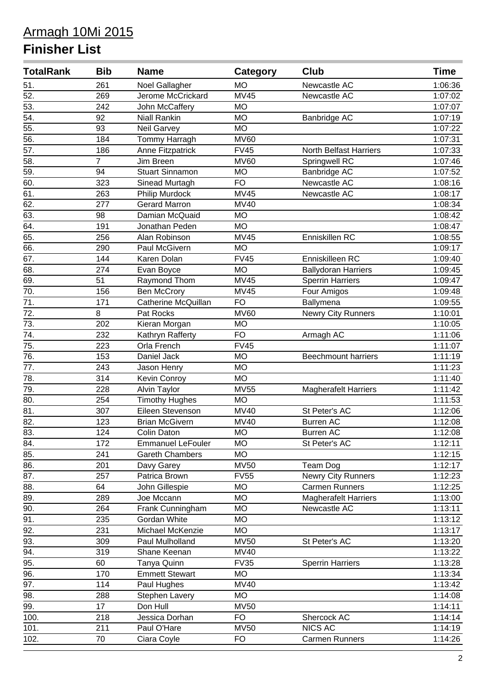| <b>TotalRank</b>  | <b>Bib</b>     | <b>Name</b>              | <b>Category</b> | <b>Club</b>                   | <b>Time</b> |
|-------------------|----------------|--------------------------|-----------------|-------------------------------|-------------|
| 51.               | 261            | Noel Gallagher           | <b>MO</b>       | Newcastle AC                  | 1:06:36     |
| $\overline{52}$ . | 269            | Jerome McCrickard        | <b>MV45</b>     | Newcastle AC                  | 1:07:02     |
| 53.               | 242            | John McCaffery           | <b>MO</b>       |                               | 1:07:07     |
| 54.               | 92             | <b>Niall Rankin</b>      | <b>MO</b>       | Banbridge AC                  | 1:07:19     |
| 55.               | 93             | <b>Neil Garvey</b>       | <b>MO</b>       |                               | 1:07:22     |
| $\overline{56}$ . | 184            | Tommy Harragh            | <b>MV60</b>     |                               | 1:07:31     |
| 57.               | 186            | Anne Fitzpatrick         | <b>FV45</b>     | <b>North Belfast Harriers</b> | 1:07:33     |
| 58.               | $\overline{7}$ | Jim Breen                | <b>MV60</b>     | Springwell RC                 | 1:07:46     |
| 59.               | 94             | <b>Stuart Sinnamon</b>   | <b>MO</b>       | Banbridge AC                  | 1:07:52     |
| 60.               | 323            | Sinead Murtagh           | <b>FO</b>       | Newcastle AC                  | 1:08:16     |
| 61.               | 263            | Philip Murdock           | <b>MV45</b>     | Newcastle AC                  | 1:08:17     |
| 62.               | 277            | <b>Gerard Marron</b>     | <b>MV40</b>     |                               | 1:08:34     |
| 63.               | 98             | Damian McQuaid           | <b>MO</b>       |                               | 1:08:42     |
| 64.               | 191            | Jonathan Peden           | <b>MO</b>       |                               | 1:08:47     |
| 65.               | 256            | Alan Robinson            | <b>MV45</b>     | Enniskillen RC                | 1:08:55     |
| 66.               | 290            | Paul McGivern            | <b>MO</b>       |                               | 1:09:17     |
| 67.               | 144            | Karen Dolan              | <b>FV45</b>     | Enniskilleen RC               | 1:09:40     |
| 68.               | 274            | Evan Boyce               | <b>MO</b>       | <b>Ballydoran Harriers</b>    | 1:09:45     |
| 69.               | 51             | Raymond Thom             | <b>MV45</b>     | <b>Sperrin Harriers</b>       | 1:09:47     |
| $\overline{70}$ . | 156            | <b>Ben McCrory</b>       | <b>MV45</b>     | Four Amigos                   | 1:09:48     |
| 71.               | 171            | Catherine McQuillan      | <b>FO</b>       | Ballymena                     | 1:09:55     |
| $\overline{72}$ . | 8              | Pat Rocks                | <b>MV60</b>     | Newry City Runners            | 1:10:01     |
| 73.               | 202            | Kieran Morgan            | <b>MO</b>       |                               | 1:10:05     |
| 74.               | 232            | Kathryn Rafferty         | <b>FO</b>       | Armagh AC                     | 1:11:06     |
| 75.               | 223            | Orla French              | <b>FV45</b>     |                               | 1:11:07     |
| 76.               | 153            | Daniel Jack              | <b>MO</b>       | <b>Beechmount harriers</b>    | 1:11:19     |
| 77.               | 243            | Jason Henry              | <b>MO</b>       |                               | 1:11:23     |
| 78.               | 314            | Kevin Conroy             | <b>MO</b>       |                               | 1:11:40     |
| $\overline{79}$ . | 228            | Alvin Taylor             | <b>MV55</b>     | <b>Magherafelt Harriers</b>   | 1:11:42     |
| 80.               | 254            | <b>Timothy Hughes</b>    | <b>MO</b>       |                               | 1:11:53     |
| $\overline{81}$   | 307            | Eileen Stevenson         | <b>MV40</b>     | St Peter's AC                 | 1:12:06     |
| $\overline{82}$ . | 123            | <b>Brian McGivern</b>    | <b>MV40</b>     | <b>Burren AC</b>              | 1:12:08     |
| 83.               | 124            | Colin Daton              | M <sub>O</sub>  | <b>Burren AC</b>              | 1:12:08     |
| 84.               | 172            | <b>Emmanuel LeFouler</b> | <b>MO</b>       | St Peter's AC                 | 1:12:11     |
| 85.               | 241            | <b>Gareth Chambers</b>   | <b>MO</b>       |                               | 1:12:15     |
| 86.               | 201            | Davy Garey               | <b>MV50</b>     | Team Dog                      | 1:12:17     |
| 87.               | 257            | Patrica Brown            | <b>FV55</b>     | <b>Newry City Runners</b>     | 1:12:23     |
| $\overline{88}$ . | 64             | John Gillespie           | <b>MO</b>       | <b>Carmen Runners</b>         | 1:12:25     |
| 89.               | 289            | Joe Mccann               | <b>MO</b>       | <b>Magherafelt Harriers</b>   | 1:13:00     |
| 90.               | 264            | Frank Cunningham         | <b>MO</b>       | Newcastle AC                  | 1:13:11     |
| 91.               | 235            | Gordan White             | <b>MO</b>       |                               | 1:13:12     |
| $\overline{92.}$  | 231            | Michael McKenzie         | <b>MO</b>       |                               | 1:13:17     |
| 93.               | 309            | Paul Mulholland          | <b>MV50</b>     | St Peter's AC                 | 1:13:20     |
| 94.               | 319            | Shane Keenan             | <b>MV40</b>     |                               | 1:13:22     |
| 95.               | 60             | Tanya Quinn              | <b>FV35</b>     | <b>Sperrin Harriers</b>       | 1:13:28     |
| $\overline{96}$ . | 170            | <b>Emmett Stewart</b>    | <b>MO</b>       |                               | 1:13:34     |
| $\overline{97}$ . | 114            | Paul Hughes              | <b>MV40</b>     |                               | 1:13:42     |
| $\overline{98}$ . | 288            | Stephen Lavery           | <b>MO</b>       |                               | 1:14:08     |
| 99.               | 17             | Don Hull                 | <b>MV50</b>     |                               | 1:14:11     |
| 100.              | 218            | Jessica Dorhan           | <b>FO</b>       | Shercock AC                   | 1:14:14     |
| 101.              | 211            | Paul O'Hare              | <b>MV50</b>     | <b>NICS AC</b>                | 1:14:19     |
| 102.              | 70             | Ciara Coyle              | <b>FO</b>       | Carmen Runners                | 1:14:26     |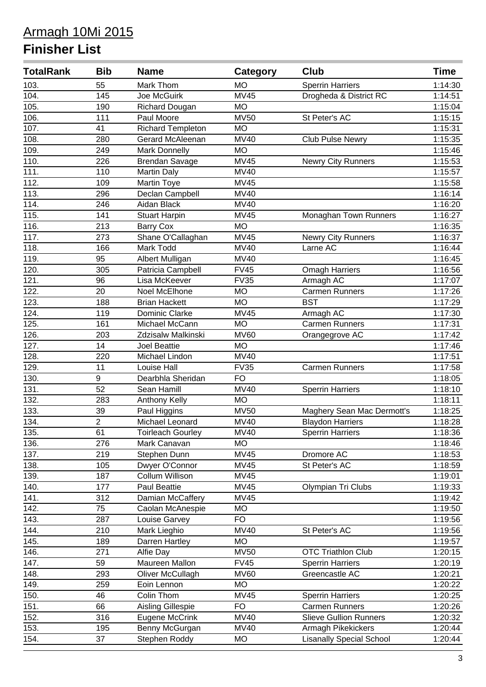| <b>TotalRank</b>   | <b>Bib</b>     | <b>Name</b>              | <b>Category</b> | <b>Club</b>                     | <b>Time</b> |
|--------------------|----------------|--------------------------|-----------------|---------------------------------|-------------|
| 103.               | 55             | Mark Thom                | <b>MO</b>       | <b>Sperrin Harriers</b>         | 1:14:30     |
| 104.               | 145            | Joe McGuirk              | <b>MV45</b>     | Drogheda & District RC          | 1:14:51     |
| 105.               | 190            | <b>Richard Dougan</b>    | <b>MO</b>       |                                 | 1:15:04     |
| 106.               | 111            | Paul Moore               | <b>MV50</b>     | St Peter's AC                   | 1:15:15     |
| 107.               | 41             | <b>Richard Templeton</b> | <b>MO</b>       |                                 | 1:15:31     |
| 108.               | 280            | Gerard McAleenan         | <b>MV40</b>     | <b>Club Pulse Newry</b>         | 1:15:35     |
| 109.               | 249            | <b>Mark Donnelly</b>     | <b>MO</b>       |                                 | 1:15:46     |
| 110.               | 226            | <b>Brendan Savage</b>    | <b>MV45</b>     | <b>Newry City Runners</b>       | 1:15:53     |
| 111.               | 110            | <b>Martin Daly</b>       | <b>MV40</b>     |                                 | 1:15:57     |
| 112.               | 109            | Martin Toye              | <b>MV45</b>     |                                 | 1:15:58     |
| 113.               | 296            | Declan Campbell          | <b>MV40</b>     |                                 | 1:16:14     |
| 114.               | 246            | Aidan Black              | <b>MV40</b>     |                                 | 1:16:20     |
| 115.               | 141            | <b>Stuart Harpin</b>     | <b>MV45</b>     | Monaghan Town Runners           | 1:16:27     |
| 116.               | 213            | <b>Barry Cox</b>         | <b>MO</b>       |                                 | 1:16:35     |
| 117.               | 273            | Shane O'Callaghan        | <b>MV45</b>     | Newry City Runners              | 1:16:37     |
| 118.               | 166            | Mark Todd                | <b>MV40</b>     | Larne AC                        | 1:16:44     |
| 119.               | 95             | Albert Mulligan          | <b>MV40</b>     |                                 | 1:16:45     |
| 120.               | 305            | Patricia Campbell        | <b>FV45</b>     | <b>Omagh Harriers</b>           | 1:16:56     |
| 121.               | 96             | Lisa McKeever            | <b>FV35</b>     | Armagh AC                       | 1:17:07     |
| $\overline{122}$ . | 20             | Noel McElhone            | <b>MO</b>       | <b>Carmen Runners</b>           | 1:17:26     |
| 123.               | 188            | <b>Brian Hackett</b>     | <b>MO</b>       | <b>BST</b>                      | 1:17:29     |
| 124.               | 119            | Dominic Clarke           | <b>MV45</b>     | Armagh AC                       | 1:17:30     |
| 125.               | 161            | Michael McCann           | <b>MO</b>       | <b>Carmen Runners</b>           | 1:17:31     |
| 126.               | 203            | Zdzisalw Malkinski       | <b>MV60</b>     | Orangegrove AC                  | 1:17:42     |
| 127.               | 14             | <b>Joel Beattie</b>      | <b>MO</b>       |                                 | 1:17:46     |
| 128.               | 220            | Michael Lindon           | <b>MV40</b>     |                                 | 1:17:51     |
| 129.               | 11             | Louise Hall              | <b>FV35</b>     | <b>Carmen Runners</b>           | 1:17:58     |
| 130.               | 9              | Dearbhla Sheridan        | <b>FO</b>       |                                 | 1:18:05     |
| 131.               | 52             | Sean Hamill              | <b>MV40</b>     | <b>Sperrin Harriers</b>         | 1:18:10     |
| 132.               | 283            | Anthony Kelly            | <b>MO</b>       |                                 | 1:18:11     |
| 133.               | 39             | Paul Higgins             | <b>MV50</b>     | Maghery Sean Mac Dermott's      | 1:18:25     |
| 134.               | $\overline{2}$ | Michael Leonard          | <b>MV40</b>     | <b>Blaydon Harriers</b>         | 1:18:28     |
| 135.               | 61             | <b>Toirleach Gourley</b> | <b>MV40</b>     | <b>Sperrin Harriers</b>         | 1:18:36     |
| 136.               | 276            | Mark Canavan             | <b>MO</b>       |                                 | 1:18:46     |
| 137.               | 219            | Stephen Dunn             | <b>MV45</b>     | Dromore AC                      | 1:18:53     |
| 138.               | 105            | Dwyer O'Connor           | <b>MV45</b>     | St Peter's AC                   | 1:18:59     |
| 139.               | 187            | Collum Willison          | <b>MV45</b>     |                                 | 1:19:01     |
| 140.               | 177            | Paul Beattie             | <b>MV45</b>     | Olympian Tri Clubs              | 1:19:33     |
| 141.               | 312            | Damian McCaffery         | <b>MV45</b>     |                                 | 1:19:42     |
| 142.               | 75             | Caolan McAnespie         | <b>MO</b>       |                                 | 1:19:50     |
| 143.               | 287            | Louise Garvey            | <b>FO</b>       |                                 | 1:19:56     |
| 144.               | 210            | Mark Lieghio             | <b>MV40</b>     | St Peter's AC                   | 1:19:56     |
| 145.               | 189            | Darren Hartley           | <b>MO</b>       |                                 | 1:19:57     |
| 146.               | 271            | Alfie Day                | <b>MV50</b>     | <b>OTC Triathlon Club</b>       | 1:20:15     |
| 147.               | 59             | Maureen Mallon           | <b>FV45</b>     | <b>Sperrin Harriers</b>         | 1:20:19     |
| 148.               | 293            | Oliver McCullagh         | <b>MV60</b>     | Greencastle AC                  | 1:20:21     |
| 149.               | 259            | Eoin Lennon              | <b>MO</b>       |                                 | 1:20:22     |
| 150.               | 46             | Colin Thom               | <b>MV45</b>     | <b>Sperrin Harriers</b>         | 1:20:25     |
| 151.               | 66             | Aisling Gillespie        | <b>FO</b>       | <b>Carmen Runners</b>           | 1:20:26     |
| 152.               | 316            | Eugene McCrink           | <b>MV40</b>     | <b>Slieve Gullion Runners</b>   | 1:20:32     |
| 153.               | 195            | Benny McGurgan           | <b>MV40</b>     | Armagh Pikekickers              | 1:20:44     |
| 154.               | 37             | Stephen Roddy            | MO              | <b>Lisanally Special School</b> | 1:20:44     |
|                    |                |                          |                 |                                 |             |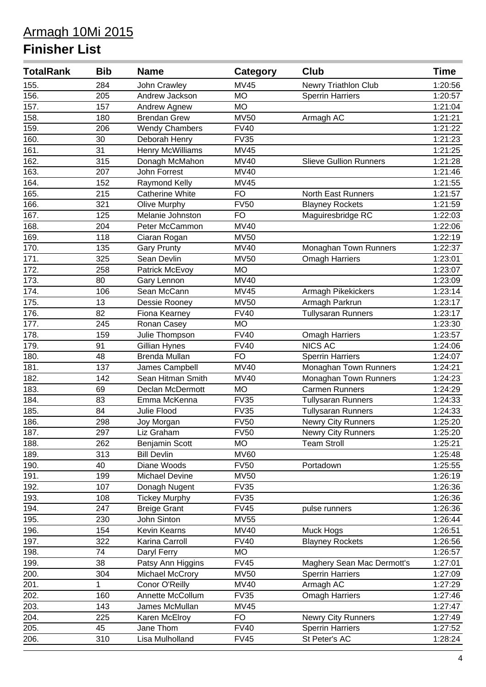| <b>TotalRank</b> | <b>Bib</b> | <b>Name</b>             | Category    | <b>Club</b>                   | <b>Time</b> |
|------------------|------------|-------------------------|-------------|-------------------------------|-------------|
| 155.             | 284        | John Crawley            | <b>MV45</b> | Newry Triathlon Club          | 1:20:56     |
| 156.             | 205        | Andrew Jackson          | <b>MO</b>   | <b>Sperrin Harriers</b>       | 1:20:57     |
| 157.             | 157        | Andrew Agnew            | <b>MO</b>   |                               | 1:21:04     |
| 158.             | 180        | <b>Brendan Grew</b>     | <b>MV50</b> | Armagh AC                     | 1:21:21     |
| 159.             | 206        | <b>Wendy Chambers</b>   | <b>FV40</b> |                               | 1:21:22     |
| 160.             | 30         | Deborah Henry           | <b>FV35</b> |                               | 1:21:23     |
| 161.             | 31         | <b>Henry McWilliams</b> | <b>MV45</b> |                               | 1:21:25     |
| 162.             | 315        | Donagh McMahon          | <b>MV40</b> | <b>Slieve Gullion Runners</b> | 1:21:28     |
| 163.             | 207        | John Forrest            | <b>MV40</b> |                               | 1:21:46     |
| 164.             | 152        | Raymond Kelly           | <b>MV45</b> |                               | 1:21:55     |
| 165.             | 215        | <b>Catherine White</b>  | <b>FO</b>   | <b>North East Runners</b>     | 1:21:57     |
| 166.             | 321        | <b>Olive Murphy</b>     | <b>FV50</b> | <b>Blayney Rockets</b>        | 1:21:59     |
| 167.             | 125        | Melanie Johnston        | <b>FO</b>   | Maguiresbridge RC             | 1:22:03     |
| 168.             | 204        | Peter McCammon          | <b>MV40</b> |                               | 1:22:06     |
| 169.             | 118        | Ciaran Rogan            | <b>MV50</b> |                               | 1:22:19     |
| 170.             | 135        | <b>Gary Prunty</b>      | <b>MV40</b> | Monaghan Town Runners         | 1:22:37     |
| 171.             | 325        | Sean Devlin             | <b>MV50</b> | <b>Omagh Harriers</b>         | 1:23:01     |
| 172.             | 258        | Patrick McEvoy          | <b>MO</b>   |                               | 1:23:07     |
| 173.             | 80         | Gary Lennon             | <b>MV40</b> |                               | 1:23:09     |
| 174.             | 106        | Sean McCann             | <b>MV45</b> | Armagh Pikekickers            | 1:23:14     |
| 175.             | 13         | Dessie Rooney           | <b>MV50</b> | Armagh Parkrun                | 1:23:17     |
| 176.             | 82         | Fiona Kearney           | <b>FV40</b> | <b>Tullysaran Runners</b>     | 1:23:17     |
| 177.             | 245        | Ronan Casey             | <b>MO</b>   |                               | 1:23:30     |
| 178.             | 159        | Julie Thompson          | <b>FV40</b> | Omagh Harriers                | 1:23:57     |
| 179.             | 91         | Gillian Hynes           | <b>FV40</b> | <b>NICS AC</b>                | 1:24:06     |
| 180.             | 48         | Brenda Mullan           | <b>FO</b>   | <b>Sperrin Harriers</b>       | 1:24:07     |
| 181.             | 137        | James Campbell          | <b>MV40</b> | Monaghan Town Runners         | 1:24:21     |
| 182.             | 142        | Sean Hitman Smith       | <b>MV40</b> | Monaghan Town Runners         | 1:24:23     |
| 183.             | 69         | Declan McDermott        | <b>MO</b>   | <b>Carmen Runners</b>         | 1:24:29     |
| 184.             | 83         | Emma McKenna            | <b>FV35</b> | <b>Tullysaran Runners</b>     | 1:24:33     |
| 185.             | 84         | Julie Flood             | <b>FV35</b> | <b>Tullysaran Runners</b>     | 1:24:33     |
| 186.             | 298        | Joy Morgan              | <b>FV50</b> | Newry City Runners            | 1:25:20     |
| 187.             | 297        | Liz Graham              | <b>FV50</b> | Newry City Runners            | 1:25:20     |
| 188.             | 262        | <b>Benjamin Scott</b>   | <b>MO</b>   | <b>Team Stroll</b>            | 1:25:21     |
| 189.             | 313        | <b>Bill Devlin</b>      | <b>MV60</b> |                               | 1:25:48     |
| 190.             | 40         | Diane Woods             | <b>FV50</b> | Portadown                     | 1:25:55     |
| 191.             | 199        | Michael Devine          | <b>MV50</b> |                               | 1:26:19     |
| 192.             | 107        | Donagh Nugent           | <b>FV35</b> |                               | 1:26:36     |
| 193.             | 108        | <b>Tickey Murphy</b>    | <b>FV35</b> |                               | 1:26:36     |
| 194.             | 247        | <b>Breige Grant</b>     | <b>FV45</b> | pulse runners                 | 1:26:36     |
| 195.             | 230        | John Sinton             | <b>MV55</b> |                               | 1:26:44     |
| 196.             | 154        | <b>Kevin Kearns</b>     | <b>MV40</b> | Muck Hogs                     | 1:26:51     |
| 197.             | 322        | Karina Carroll          | <b>FV40</b> | <b>Blayney Rockets</b>        | 1:26:56     |
| 198.             | 74         | Daryl Ferry             | <b>MO</b>   |                               | 1:26:57     |
| 199.             | 38         | Patsy Ann Higgins       | <b>FV45</b> | Maghery Sean Mac Dermott's    | 1:27:01     |
| 200.             | 304        | Michael McCrory         | <b>MV50</b> | <b>Sperrin Harriers</b>       | 1:27:09     |
| 201.             | 1          | Conor O'Reilly          | <b>MV40</b> | Armagh AC                     | 1:27:29     |
| 202.             | 160        | Annette McCollum        | <b>FV35</b> | <b>Omagh Harriers</b>         | 1:27:46     |
| 203.             | 143        | James McMullan          | <b>MV45</b> |                               | 1:27:47     |
| 204.             | 225        | Karen McElroy           | <b>FO</b>   | Newry City Runners            | 1:27:49     |
| 205.             | 45         | Jane Thom               | <b>FV40</b> | <b>Sperrin Harriers</b>       | 1:27:52     |
| 206.             | 310        | Lisa Mulholland         | <b>FV45</b> | St Peter's AC                 | 1:28:24     |
|                  |            |                         |             |                               |             |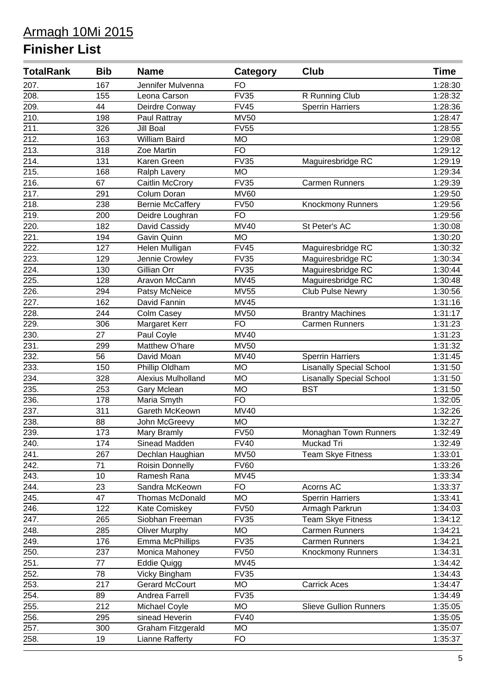| <b>TotalRank</b>   | <b>Bib</b>      | <b>Name</b>             | <b>Category</b> | Club                            | <b>Time</b> |
|--------------------|-----------------|-------------------------|-----------------|---------------------------------|-------------|
| 207.               | 167             | Jennifer Mulvenna       | <b>FO</b>       |                                 | 1:28:30     |
| 208.               | 155             | Leona Carson            | <b>FV35</b>     | R Running Club                  | 1:28:32     |
| 209.               | 44              | Deirdre Conway          | <b>FV45</b>     | <b>Sperrin Harriers</b>         | 1:28:36     |
| $\overline{210}$ . | 198             | Paul Rattray            | <b>MV50</b>     |                                 | 1:28:47     |
| 211.               | 326             | Jill Boal               | <b>FV55</b>     |                                 | 1:28:55     |
| $\overline{212.}$  | 163             | William Baird           | <b>MO</b>       |                                 | 1:29:08     |
| 213.               | 318             | Zoe Martin              | <b>FO</b>       |                                 | 1:29:12     |
| 214.               | 131             | Karen Green             | <b>FV35</b>     | Maguiresbridge RC               | 1:29:19     |
| 215.               | 168             | Ralph Lavery            | <b>MO</b>       |                                 | 1:29:34     |
| 216.               | 67              | Caitlin McCrory         | <b>FV35</b>     | <b>Carmen Runners</b>           | 1:29:39     |
| 217.               | 291             | Colum Doran             | <b>MV60</b>     |                                 | 1:29:50     |
| 218.               | 238             | <b>Bernie McCaffery</b> | <b>FV50</b>     | <b>Knockmony Runners</b>        | 1:29:56     |
| 219.               | 200             | Deidre Loughran         | <b>FO</b>       |                                 | 1:29:56     |
| 220.               | 182             | David Cassidy           | <b>MV40</b>     | St Peter's AC                   | 1:30:08     |
| 221.               | 194             | Gavin Quinn             | <b>MO</b>       |                                 | 1:30:20     |
| $\overline{222}$ . | 127             | Helen Mulligan          | <b>FV45</b>     | Maguiresbridge RC               | 1:30:32     |
| 223.               | 129             | Jennie Crowley          | <b>FV35</b>     | Maguiresbridge RC               | 1:30:34     |
| 224.               | 130             | Gillian Orr             | <b>FV35</b>     | Maguiresbridge RC               | 1:30:44     |
| 225.               | 128             | Aravon McCann           | <b>MV45</b>     | Maguiresbridge RC               | 1:30:48     |
| 226.               | 294             | Patsy McNeice           | <b>MV55</b>     | Club Pulse Newry                | 1:30:56     |
| 227.               | 162             | David Fannin            | <b>MV45</b>     |                                 | 1:31:16     |
| 228.               | 244             | Colm Casey              | <b>MV50</b>     | <b>Brantry Machines</b>         | 1:31:17     |
| 229.               | 306             | Margaret Kerr           | <b>FO</b>       | <b>Carmen Runners</b>           | 1:31:23     |
| 230.               | 27              | Paul Coyle              | <b>MV40</b>     |                                 | 1:31:23     |
| 231.               | 299             | Matthew O'hare          | <b>MV50</b>     |                                 | 1:31:32     |
| 232.               | 56              | David Moan              | <b>MV40</b>     | <b>Sperrin Harriers</b>         | 1:31:45     |
| 233.               | 150             | Phillip Oldham          | <b>MO</b>       | Lisanally Special School        | 1:31:50     |
| 234.               | 328             | Alexius Mulholland      | <b>MO</b>       | <b>Lisanally Special School</b> | 1:31:50     |
| 235.               | 253             | Gary Mclean             | <b>MO</b>       | <b>BST</b>                      | 1:31:50     |
| 236.               | 178             | Maria Smyth             | <b>FO</b>       |                                 | 1:32:05     |
| 237.               | 311             | Gareth McKeown          | <b>MV40</b>     |                                 | 1:32:26     |
| 238.               | 88              | John McGreevy           | <b>MO</b>       |                                 | 1:32:27     |
| 239.               | 173             | Mary Bramly             | <b>FV50</b>     | Monaghan Town Runners           | 1:32:49     |
| 240.               | 174             | Sinead Madden           | <b>FV40</b>     | Muckad Tri                      | 1:32:49     |
| 241.               | 267             | Dechlan Haughian        | <b>MV50</b>     | <b>Team Skye Fitness</b>        | 1:33:01     |
| 242.               | 71              | Roisin Donnelly         | <b>FV60</b>     |                                 | 1:33:26     |
| 243.               | 10              | Ramesh Rana             | $M\sqrt{45}$    |                                 | 1:33:34     |
| 244.               | 23              | Sandra McKeown          | <b>FO</b>       | Acorns AC                       | 1:33:37     |
| 245.               | 47              | <b>Thomas McDonald</b>  | <b>MO</b>       | <b>Sperrin Harriers</b>         | 1:33:41     |
| 246.               | 122             | Kate Comiskey           | <b>FV50</b>     | Armagh Parkrun                  | 1:34:03     |
| 247.               | 265             | Siobhan Freeman         | <b>FV35</b>     | <b>Team Skye Fitness</b>        | 1:34:12     |
| 248.               | 285             | <b>Oliver Murphy</b>    | <b>MO</b>       | <b>Carmen Runners</b>           | 1:34:21     |
| 249.               | 176             | Emma McPhillips         | <b>FV35</b>     | <b>Carmen Runners</b>           | 1:34:21     |
| 250.               | 237             | Monica Mahoney          | <b>FV50</b>     | <b>Knockmony Runners</b>        | 1:34:31     |
| 251.               | $\overline{77}$ | <b>Eddie Quigg</b>      | <b>MV45</b>     |                                 | 1:34:42     |
| 252.               | 78              | Vicky Bingham           | <b>FV35</b>     |                                 | 1:34:43     |
| 253.               | 217             | <b>Gerard McCourt</b>   | <b>MO</b>       | <b>Carrick Aces</b>             | 1:34:47     |
| 254.               | 89              | Andrea Farrell          | <b>FV35</b>     |                                 | 1:34:49     |
| 255.               | 212             | Michael Coyle           | <b>MO</b>       | <b>Slieve Gullion Runners</b>   | 1:35:05     |
| 256.               | 295             | sinead Heverin          | <b>FV40</b>     |                                 | 1:35:05     |
| 257.               | 300             | Graham Fitzgerald       | <b>MO</b>       |                                 | 1:35:07     |
| 258.               | 19              | <b>Lianne Rafferty</b>  | <b>FO</b>       |                                 | 1:35:37     |
|                    |                 |                         |                 |                                 |             |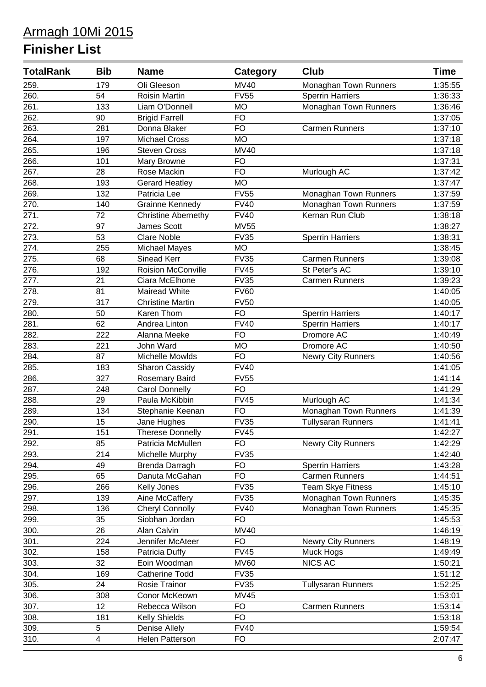| <b>TotalRank</b> | <b>Bib</b>              | <b>Name</b>                | Category    | Club                      | <b>Time</b> |
|------------------|-------------------------|----------------------------|-------------|---------------------------|-------------|
| 259.             | 179                     | Oli Gleeson                | <b>MV40</b> | Monaghan Town Runners     | 1:35:55     |
| 260.             | 54                      | Roisin Martin              | <b>FV55</b> | <b>Sperrin Harriers</b>   | 1:36:33     |
| 261.             | 133                     | Liam O'Donnell             | <b>MO</b>   | Monaghan Town Runners     | 1:36:46     |
| 262.             | 90                      | <b>Brigid Farrell</b>      | <b>FO</b>   |                           | 1:37:05     |
| 263.             | 281                     | Donna Blaker               | <b>FO</b>   | <b>Carmen Runners</b>     | 1:37:10     |
| 264.             | 197                     | <b>Michael Cross</b>       | <b>MO</b>   |                           | 1:37:18     |
| 265.             | 196                     | <b>Steven Cross</b>        | <b>MV40</b> |                           | 1:37:18     |
| 266.             | 101                     | Mary Browne                | <b>FO</b>   |                           | 1:37:31     |
| 267.             | 28                      | Rose Mackin                | <b>FO</b>   | Murlough AC               | 1:37:42     |
| 268.             | 193                     | <b>Gerard Heatley</b>      | <b>MO</b>   |                           | 1:37:47     |
| 269.             | 132                     | Patricia Lee               | <b>FV55</b> | Monaghan Town Runners     | 1:37:59     |
| 270.             | 140                     | <b>Grainne Kennedy</b>     | <b>FV40</b> | Monaghan Town Runners     | 1:37:59     |
| 271.             | 72                      | <b>Christine Abernethy</b> | <b>FV40</b> | Kernan Run Club           | 1:38:18     |
| 272.             | 97                      | James Scott                | <b>MV55</b> |                           | 1:38:27     |
| 273.             | 53                      | <b>Clare Noble</b>         | <b>FV35</b> | <b>Sperrin Harriers</b>   | 1:38:31     |
| 274.             | 255                     | <b>Michael Mayes</b>       | <b>MO</b>   |                           | 1:38:45     |
| 275.             | 68                      | Sinead Kerr                | <b>FV35</b> | <b>Carmen Runners</b>     | 1:39:08     |
| 276.             | 192                     | <b>Roision McConville</b>  | <b>FV45</b> | St Peter's AC             | 1:39:10     |
| 277.             | 21                      | Ciara McElhone             | <b>FV35</b> | <b>Carmen Runners</b>     | 1:39:23     |
| 278.             | 81                      | Mairead White              | <b>FV60</b> |                           | 1:40:05     |
| 279.             | 317                     | <b>Christine Martin</b>    | <b>FV50</b> |                           | 1:40:05     |
| 280.             | 50                      | Karen Thom                 | <b>FO</b>   | <b>Sperrin Harriers</b>   | 1:40:17     |
| 281.             | 62                      | Andrea Linton              | <b>FV40</b> | <b>Sperrin Harriers</b>   | 1:40:17     |
| 282.             | 222                     | Alanna Meeke               | <b>FO</b>   | Dromore AC                | 1:40:49     |
| 283.             | 221                     | John Ward                  | <b>MO</b>   | Dromore AC                | 1:40:50     |
| 284.             | 87                      | Michelle Mowlds            | <b>FO</b>   | Newry City Runners        | 1:40:56     |
| 285.             | 183                     | Sharon Cassidy             | <b>FV40</b> |                           | 1:41:05     |
| 286.             | 327                     | Rosemary Baird             | <b>FV55</b> |                           | 1:41:14     |
| 287.             | 248                     | Carol Donnelly             | <b>FO</b>   |                           | 1:41:29     |
| 288.             | 29                      | Paula McKibbin             | <b>FV45</b> | Murlough AC               | 1:41:34     |
| 289.             | 134                     | Stephanie Keenan           | <b>FO</b>   | Monaghan Town Runners     | 1:41:39     |
| 290.             | 15                      | Jane Hughes                | <b>FV35</b> | <b>Tullysaran Runners</b> | 1:41:41     |
| 291.             | 151                     | <b>Therese Donnelly</b>    | FV45        |                           | 1:42:27     |
| 292.             | 85                      | Patricia McMullen          | <b>FO</b>   | <b>Newry City Runners</b> | 1:42:29     |
| 293.             | 214                     | Michelle Murphy            | <b>FV35</b> |                           | 1:42:40     |
| 294.             | 49                      | Brenda Darragh             | <b>FO</b>   | <b>Sperrin Harriers</b>   | 1:43:28     |
| 295.             | 65                      | Danuta McGahan             | <b>FO</b>   | <b>Carmen Runners</b>     | 1:44:51     |
| 296.             | 266                     | Kelly Jones                | <b>FV35</b> | <b>Team Skye Fitness</b>  | 1:45:10     |
| 297.             | 139                     | Aine McCaffery             | <b>FV35</b> | Monaghan Town Runners     | 1:45:35     |
| 298.             | 136                     | <b>Cheryl Connolly</b>     | <b>FV40</b> | Monaghan Town Runners     | 1:45:35     |
| 299.             | 35                      | Siobhan Jordan             | <b>FO</b>   |                           | 1:45:53     |
| 300.             | 26                      | Alan Calvin                | <b>MV40</b> |                           | 1:46:19     |
| 301.             | 224                     | Jennifer McAteer           | <b>FO</b>   | <b>Newry City Runners</b> | 1:48:19     |
| 302.             | 158                     | Patricia Duffy             | <b>FV45</b> | Muck Hogs                 | 1:49:49     |
| 303.             | 32                      | Eoin Woodman               | <b>MV60</b> | <b>NICS AC</b>            | 1:50:21     |
| 304.             | 169                     | <b>Catherine Todd</b>      | <b>FV35</b> |                           | 1:51:12     |
| 305.             | 24                      | Rosie Trainor              | <b>FV35</b> | <b>Tullysaran Runners</b> | 1:52:25     |
| 306.             | 308                     | Conor McKeown              | <b>MV45</b> |                           | 1:53:01     |
| 307.             | 12                      | Rebecca Wilson             | <b>FO</b>   | <b>Carmen Runners</b>     | 1:53:14     |
| 308.             | 181                     | Kelly Shields              | <b>FO</b>   |                           | 1:53:18     |
| 309.             | 5                       | Denise Allely              | <b>FV40</b> |                           | 1:59:54     |
| 310.             | $\overline{\mathbf{4}}$ | Helen Patterson            | <b>FO</b>   |                           | 2:07:47     |
|                  |                         |                            |             |                           |             |